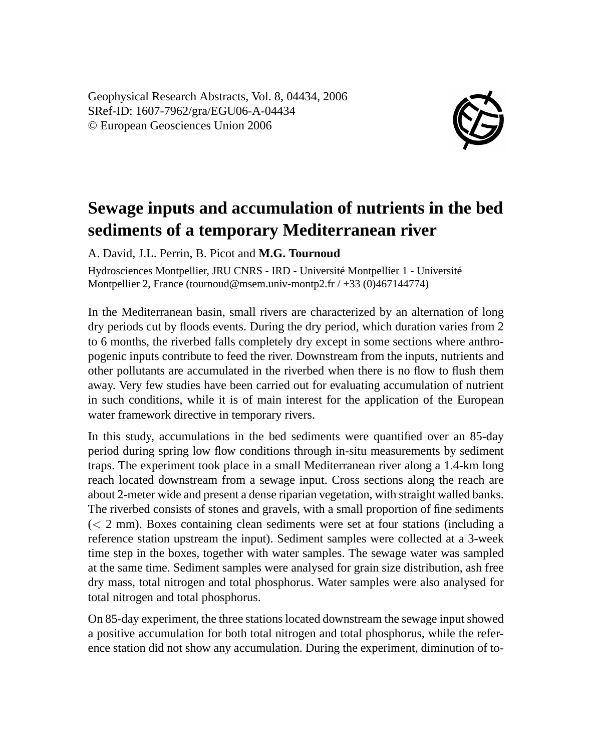Geophysical Research Abstracts, Vol. 8, 04434, 2006 SRef-ID: 1607-7962/gra/EGU06-A-04434 © European Geosciences Union 2006



## **Sewage inputs and accumulation of nutrients in the bed sediments of a temporary Mediterranean river**

A. David, J.L. Perrin, B. Picot and **M.G. Tournoud**

Hydrosciences Montpellier, JRU CNRS - IRD - Université Montpellier 1 - Université Montpellier 2, France (tournoud@msem.univ-montp2.fr / +33 (0)467144774)

In the Mediterranean basin, small rivers are characterized by an alternation of long dry periods cut by floods events. During the dry period, which duration varies from 2 to 6 months, the riverbed falls completely dry except in some sections where anthropogenic inputs contribute to feed the river. Downstream from the inputs, nutrients and other pollutants are accumulated in the riverbed when there is no flow to flush them away. Very few studies have been carried out for evaluating accumulation of nutrient in such conditions, while it is of main interest for the application of the European water framework directive in temporary rivers.

In this study, accumulations in the bed sediments were quantified over an 85-day period during spring low flow conditions through in-situ measurements by sediment traps. The experiment took place in a small Mediterranean river along a 1.4-km long reach located downstream from a sewage input. Cross sections along the reach are about 2-meter wide and present a dense riparian vegetation, with straight walled banks. The riverbed consists of stones and gravels, with a small proportion of fine sediments (< 2 mm). Boxes containing clean sediments were set at four stations (including a reference station upstream the input). Sediment samples were collected at a 3-week time step in the boxes, together with water samples. The sewage water was sampled at the same time. Sediment samples were analysed for grain size distribution, ash free dry mass, total nitrogen and total phosphorus. Water samples were also analysed for total nitrogen and total phosphorus.

On 85-day experiment, the three stations located downstream the sewage input showed a positive accumulation for both total nitrogen and total phosphorus, while the reference station did not show any accumulation. During the experiment, diminution of to-